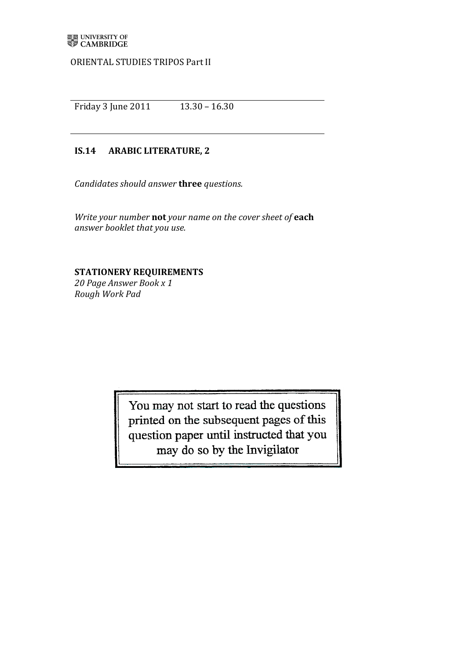ORIENTAL STUDIES TRIPOS Part II

Friday)3 June)2011))))))))))))))13.30)– 16.30

## **IS.14 ARABIC LITERATURE, 2**

*Candidates should answer* three *questions.* 

*Write your number* not your name on the cover sheet of each *answer booklet that)you)use.*

## **STATIONERY REQUIREMENTS**

*20)Page)Answer)Book)x)1 Rough)Work)Pad*

> You may not start to read the questions printed on the subsequent pages of this question paper until instructed that you may do so by the Invigilator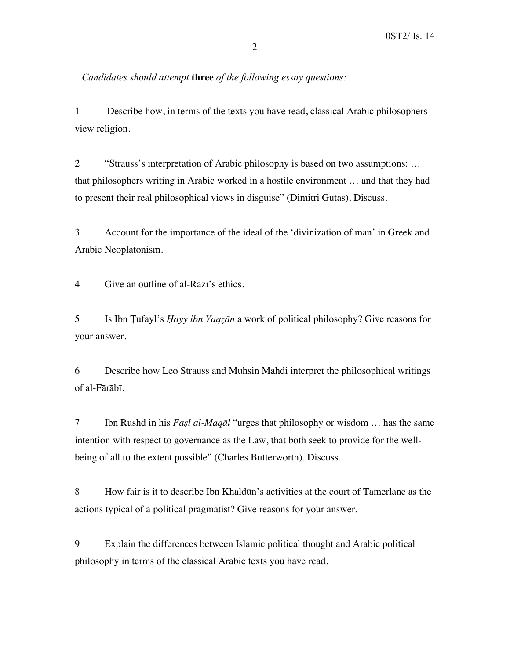*Candidates should attempt* **three** *of the following essay questions:*

1 Describe how, in terms of the texts you have read, classical Arabic philosophers view religion.

2 "Strauss's interpretation of Arabic philosophy is based on two assumptions: … that philosophers writing in Arabic worked in a hostile environment … and that they had to present their real philosophical views in disguise" (Dimitri Gutas). Discuss.

3 Account for the importance of the ideal of the 'divinization of man' in Greek and Arabic Neoplatonism.

4 Give an outline of al-Rāzī's ethics.

5 Is Ibn Ṭufayl's *Ḥayy ibn Yaqẓān* a work of political philosophy? Give reasons for your answer.

6 Describe how Leo Strauss and Muhsin Mahdi interpret the philosophical writings of al-Fārābī.

7 Ibn Rushd in his *Faṣl al-Maqāl* "urges that philosophy or wisdom … has the same intention with respect to governance as the Law, that both seek to provide for the wellbeing of all to the extent possible" (Charles Butterworth). Discuss.

8 How fair is it to describe Ibn Khaldūn's activities at the court of Tamerlane as the actions typical of a political pragmatist? Give reasons for your answer.

9 Explain the differences between Islamic political thought and Arabic political philosophy in terms of the classical Arabic texts you have read.